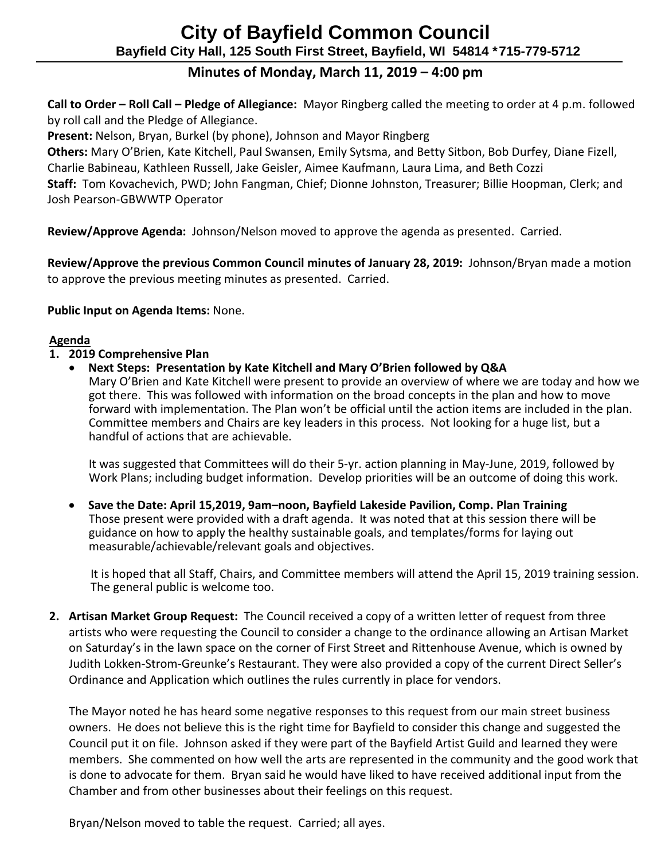# **City of Bayfield Common Council Bayfield City Hall, 125 South First Street, Bayfield, WI 54814 \*715-779-5712**

## **Minutes of Monday, March 11, 2019 – 4:00 pm**

 **Call to Order – Roll Call – Pledge of Allegiance:** Mayor Ringberg called the meeting to order at 4 p.m. followed by roll call and the Pledge of Allegiance.

 **Present:** Nelson, Bryan, Burkel (by phone), Johnson and Mayor Ringberg

 **Others:** Mary O'Brien, Kate Kitchell, Paul Swansen, Emily Sytsma, and Betty Sitbon, Bob Durfey, Diane Fizell, Charlie Babineau, Kathleen Russell, Jake Geisler, Aimee Kaufmann, Laura Lima, and Beth Cozzi  **Staff:** Tom Kovachevich, PWD; John Fangman, Chief; Dionne Johnston, Treasurer; Billie Hoopman, Clerk; and Josh Pearson-GBWWTP Operator

**Review/Approve Agenda:** Johnson/Nelson moved to approve the agenda as presented. Carried.

 **Review/Approve the previous Common Council minutes of January 28, 2019:** Johnson/Bryan made a motion to approve the previous meeting minutes as presented. Carried.

**Public Input on Agenda Items:** None.

#### **Agenda**

- **1. 2019 Comprehensive Plan**
	- **Next Steps: Presentation by Kate Kitchell and Mary O'Brien followed by Q&A**

 Mary O'Brien and Kate Kitchell were present to provide an overview of where we are today and how we got there. This was followed with information on the broad concepts in the plan and how to move forward with implementation. The Plan won't be official until the action items are included in the plan. Committee members and Chairs are key leaders in this process. Not looking for a huge list, but a handful of actions that are achievable.

 It was suggested that Committees will do their 5-yr. action planning in May-June, 2019, followed by Work Plans; including budget information. Develop priorities will be an outcome of doing this work.

• **Save the Date: April 15,2019, 9am–noon, Bayfield Lakeside Pavilion, Comp. Plan Training** Those present were provided with a draft agenda. It was noted that at this session there will be guidance on how to apply the healthy sustainable goals, and templates/forms for laying out measurable/achievable/relevant goals and objectives.

 It is hoped that all Staff, Chairs, and Committee members will attend the April 15, 2019 training session. The general public is welcome too.

**2. Artisan Market Group Request:** The Council received a copy of a written letter of request from three artists who were requesting the Council to consider a change to the ordinance allowing an Artisan Market on Saturday's in the lawn space on the corner of First Street and Rittenhouse Avenue, which is owned by Judith Lokken-Strom-Greunke's Restaurant. They were also provided a copy of the current Direct Seller's Ordinance and Application which outlines the rules currently in place for vendors.

The Mayor noted he has heard some negative responses to this request from our main street business owners. He does not believe this is the right time for Bayfield to consider this change and suggested the Council put it on file. Johnson asked if they were part of the Bayfield Artist Guild and learned they were members. She commented on how well the arts are represented in the community and the good work that is done to advocate for them. Bryan said he would have liked to have received additional input from the Chamber and from other businesses about their feelings on this request.

Bryan/Nelson moved to table the request. Carried; all ayes.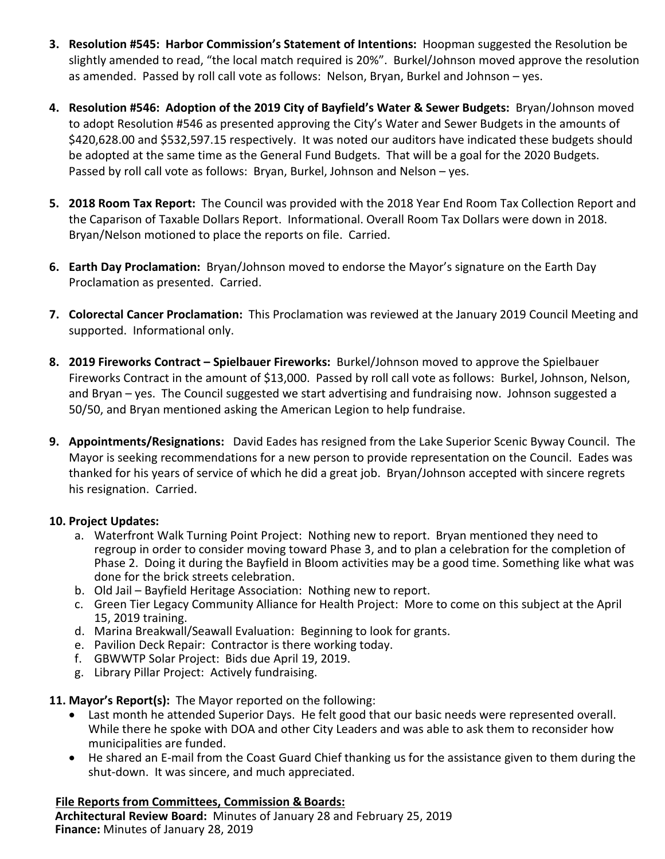- **3. Resolution #545: Harbor Commission's Statement of Intentions:** Hoopman suggested the Resolution be slightly amended to read, "the local match required is 20%". Burkel/Johnson moved approve the resolution as amended. Passed by roll call vote as follows: Nelson, Bryan, Burkel and Johnson – yes.
- **4. Resolution #546: Adoption of the 2019 City of Bayfield's Water & Sewer Budgets:** Bryan/Johnson moved to adopt Resolution #546 as presented approving the City's Water and Sewer Budgets in the amounts of \$420,628.00 and \$532,597.15 respectively. It was noted our auditors have indicated these budgets should be adopted at the same time as the General Fund Budgets. That will be a goal for the 2020 Budgets. Passed by roll call vote as follows: Bryan, Burkel, Johnson and Nelson – yes.
- **5. 2018 Room Tax Report:** The Council was provided with the 2018 Year End Room Tax Collection Report and the Caparison of Taxable Dollars Report. Informational. Overall Room Tax Dollars were down in 2018. Bryan/Nelson motioned to place the reports on file. Carried.
- **6. Earth Day Proclamation:** Bryan/Johnson moved to endorse the Mayor's signature on the Earth Day Proclamation as presented. Carried.
- **7. Colorectal Cancer Proclamation:** This Proclamation was reviewed at the January 2019 Council Meeting and supported. Informational only.
- **8. 2019 Fireworks Contract – Spielbauer Fireworks:** Burkel/Johnson moved to approve the Spielbauer Fireworks Contract in the amount of \$13,000. Passed by roll call vote as follows: Burkel, Johnson, Nelson, and Bryan – yes. The Council suggested we start advertising and fundraising now. Johnson suggested a 50/50, and Bryan mentioned asking the American Legion to help fundraise.
- **9. Appointments/Resignations:** David Eades has resigned from the Lake Superior Scenic Byway Council. The Mayor is seeking recommendations for a new person to provide representation on the Council. Eades was thanked for his years of service of which he did a great job. Bryan/Johnson accepted with sincere regrets his resignation. Carried.

#### **10. Project Updates:**

- a. Waterfront Walk Turning Point Project: Nothing new to report. Bryan mentioned they need to regroup in order to consider moving toward Phase 3, and to plan a celebration for the completion of Phase 2. Doing it during the Bayfield in Bloom activities may be a good time. Something like what was done for the brick streets celebration.
- b. Old Jail Bayfield Heritage Association: Nothing new to report.
- c. Green Tier Legacy Community Alliance for Health Project: More to come on this subject at the April 15, 2019 training.
- d. Marina Breakwall/Seawall Evaluation: Beginning to look for grants.
- e. Pavilion Deck Repair: Contractor is there working today.
- f. GBWWTP Solar Project: Bids due April 19, 2019.
- g. Library Pillar Project: Actively fundraising.
- **11. Mayor's Report(s):** The Mayor reported on the following:
	- Last month he attended Superior Days. He felt good that our basic needs were represented overall. While there he spoke with DOA and other City Leaders and was able to ask them to reconsider how municipalities are funded.
	- He shared an E-mail from the Coast Guard Chief thanking us for the assistance given to them during the shut-down. It was sincere, and much appreciated.

### **File Reports from Committees, Commission & Boards:**

**Architectural Review Board:** Minutes of January 28 and February 25, 2019 **Finance:** Minutes of January 28, 2019